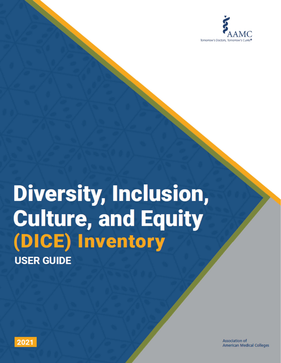

# **Diversity, Inclusion, Culture, and Equity** (DICE) Inventory **USER GUIDE**

**Association of American Medical Colleges** 

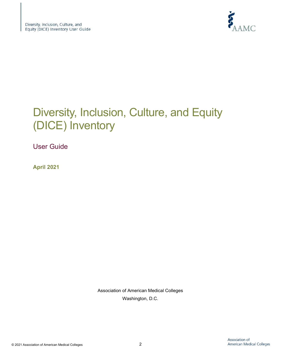

# Diversity, Inclusion, Culture, and Equity (DICE) Inventory

User Guide

April 2021

Association of American Medical Colleges Washington, D.C.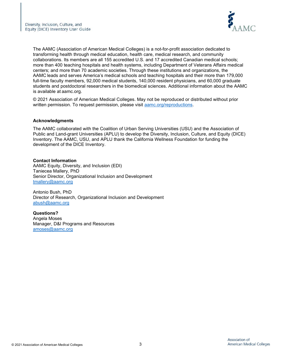

The AAMC (Association of American Medical Colleges) is a not-for-profit association dedicated to transforming health through medical education, health care, medical research, and community collaborations. Its members are all 155 accredited U.S. and 17 accredited Canadian medical schools; more than 400 teaching hospitals and health systems, including Department of Veterans Affairs medical centers; and more than 70 academic societies. Through these institutions and organizations, the AAMC leads and serves America's medical schools and teaching hospitals and their more than 179,000 full-time faculty members, 92,000 medical students, 140,000 resident physicians, and 60,000 graduate students and postdoctoral researchers in the biomedical sciences. Additional information about the AAMC is available at aamc.org.

© 2021 Association of American Medical Colleges. May not be reproduced or distributed without prior written permission. To request permission, please visit aamc.org/reproductions.

#### Acknowledgments

The AAMC collaborated with the Coalition of Urban Serving Universities (USU) and the Association of Public and Land-grant Universities (APLU) to develop the Diversity, Inclusion, Culture, and Equity (DICE) Inventory. The AAMC, USU, and APLU thank the California Wellness Foundation for funding the development of the DICE Inventory.

#### Contact Information

AAMC Equity, Diversity, and Inclusion (EDI) Taniecea Mallery, PhD Senior Director, Organizational Inclusion and Development tmallery@aamc.org

Antonio Bush, PhD Director of Research, Organizational Inclusion and Development abush@aamc.org

Questions? Angela Moses Manager, D&I Programs and Resources amoses@aamc.org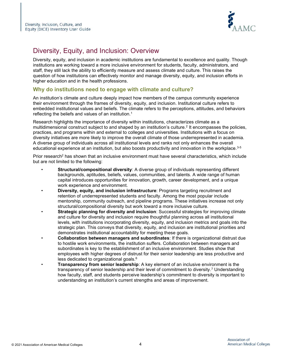

# Diversity, Equity, and Inclusion: Overview

Diversity, equity, and inclusion in academic institutions are fundamental to excellence and quality. Though institutions are working toward a more inclusive environment for students, faculty, administrators, and staff, they still lack the ability to efficiently measure and assess climate and culture. This raises the question of how institutions can effectively monitor and manage diversity, equity, and inclusion efforts in higher education and in the health professions.

#### Why do institutions need to engage with climate and culture?

An institution's climate and culture deeply impact how members of the campus community experience their environment through the frames of diversity, equity, and inclusion. Institutional culture refers to embedded institutional values and beliefs. The climate refers to the perceptions, attitudes, and behaviors reflecting the beliefs and values of an institution.<sup>1</sup>

Research highlights the importance of diversity within institutions, characterizes climate as a multidimensional construct subject to and shaped by an institution's culture.<sup>2</sup> It encompasses the policies, practices, and programs within and external to colleges and universities. Institutions with a focus on diversity initiatives are more likely to improve the overall climate of those underrepresented in academia. A diverse group of individuals across all institutional levels and ranks not only enhances the overall educational experience at an institution, but also boosts productivity and innovation in the workplace.3-5

Prior research<sup>2</sup> has shown that an inclusive environment must have several characteristics, which include but are not limited to the following:

- **Structural/compositional diversity:** A diverse group of individuals representing different backgrounds, aptitudes, beliefs, values, communities, and talents. A wide range of human capital introduces opportunities for innovation, growth, career development, and a unique work experience and environment.
- Diversity, equity, and inclusion infrastructure: Programs targeting recruitment and retention of underrepresented students and faculty. Among the most popular include mentorship, community outreach, and pipeline programs. These initiatives increase not only structural/compositional diversity but work toward a more inclusive culture.
- **Strategic planning for diversity and inclusion**: Successful strategies for improving climate and culture for diversity and inclusion require thoughtful planning across all institutional levels, with institutions incorporating diversity, equity, and inclusion metrics and goals into the strategic plan. This conveys that diversity, equity, and inclusion are institutional priorities and demonstrates institutional accountability for meeting these goals.
- Collaboration between managers and subordinates: If there is organizational distrust due to hostile work environments, the institution suffers. Collaboration between managers and subordinates is key to the establishment of an inclusive environment. Studies show that employees with higher degrees of distrust for their senior leadership are less productive and less dedicated to organizational goals.<sup>6</sup>
- **Transparency from senior leadership**: A key element of an inclusive environment is the transparency of senior leadership and their level of commitment to diversity.<sup>7</sup> Understanding how faculty, staff, and students perceive leadership's commitment to diversity is important to understanding an institution's current strengths and areas of improvement.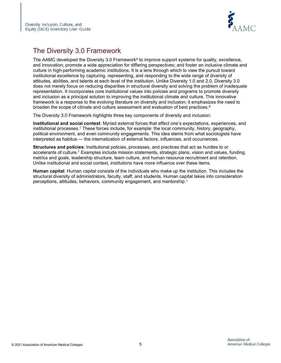

# The Diversity 3.0 Framework

The AAMC developed the Diversity 3.0 Framework $^8$  to improve support systems for quality, excellence, and innovation; promote a wide appreciation for differing perspectives; and foster an inclusive climate and culture in high-performing academic institutions. It is a lens through which to view the pursuit toward institutional excellence by capturing, representing, and responding to the wide range of diversity of attitudes, abilities, and talents at each level of the institution. Unlike Diversity 1.0 and 2.0, Diversity 3.0 does not merely focus on reducing disparities in structural diversity and solving the problem of inadequate representation. It incorporates core institutional values into policies and programs to promote diversity and inclusion as a principal solution to improving the institutional climate and culture. This innovative framework is a response to the evolving literature on diversity and inclusion; it emphasizes the need to broaden the scope of climate and culture assessment and evaluation of best practices.<sup>9</sup>

The Diversity 3.0 Framework highlights three key components of diversity and inclusion:

Institutional and social context: Myriad external forces that affect one's expectations, experiences, and institutional processes.<sup>1</sup> These forces include, for example: the local community, history, geography, political environment, and even community engagements. This idea stems from what sociologists have interpreted as habitus — the internalization of external factors, influences, and occurrences.

Structures and policies: Institutional policies, processes, and practices that act as hurdles to or accelerants of culture.<sup>1</sup> Examples include mission statements, strategic plans, vision and values, funding, metrics and goals, leadership structure, team culture, and human resource recruitment and retention. Unlike institutional and social context, institutions have more influence over these items.

Human capital: Human capital consists of the individuals who make up the institution. This includes the structural diversity of administrators, faculty, staff, and students. Human capital takes into consideration perceptions, attitudes, behaviors, community engagement, and mentorship.1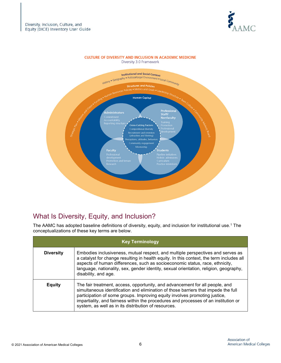



#### **CULTURE OF DIVERSITY AND INCLUSION IN ACADEMIC MEDICINE**

# What Is Diversity, Equity, and Inclusion?

The AAMC has adopted baseline definitions of diversity, equity, and inclusion for institutional use.<sup>1</sup> The conceptualizations of these key terms are below.

| <b>Key Terminology</b> |                                                                                                                                                                                                                                                                                                                                                                                                 |
|------------------------|-------------------------------------------------------------------------------------------------------------------------------------------------------------------------------------------------------------------------------------------------------------------------------------------------------------------------------------------------------------------------------------------------|
| <b>Diversity</b>       | Embodies inclusiveness, mutual respect, and multiple perspectives and serves as<br>a catalyst for change resulting in health equity. In this context, the term includes all<br>aspects of human differences, such as socioeconomic status, race, ethnicity,<br>language, nationality, sex, gender identity, sexual orientation, religion, geography,<br>disability, and age.                    |
| <b>Equity</b>          | The fair treatment, access, opportunity, and advancement for all people, and<br>simultaneous identification and elimination of those barriers that impede the full<br>participation of some groups. Improving equity involves promoting justice,<br>impartiality, and fairness within the procedures and processes of an institution or<br>system, as well as in its distribution of resources. |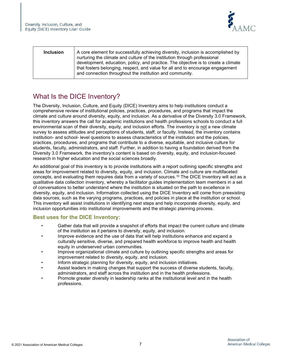

| <b>Inclusion</b> | A core element for successfully achieving diversity, inclusion is accomplished by<br>nurturing the climate and culture of the institution through professional<br>development, education, policy, and practice. The objective is to create a climate<br>that fosters belonging, respect, and value for all and to encourage engagement<br>and connection throughout the institution and community. |
|------------------|----------------------------------------------------------------------------------------------------------------------------------------------------------------------------------------------------------------------------------------------------------------------------------------------------------------------------------------------------------------------------------------------------|
|------------------|----------------------------------------------------------------------------------------------------------------------------------------------------------------------------------------------------------------------------------------------------------------------------------------------------------------------------------------------------------------------------------------------------|

# What Is the DICE Inventory?

The Diversity, Inclusion, Culture, and Equity (DICE) Inventory aims to help institutions conduct a comprehensive review of institutional policies, practices, procedures, and programs that impact the climate and culture around diversity, equity, and inclusion. As a derivative of the Diversity 3.0 Framework, this inventory answers the call for academic institutions and health professions schools to conduct a full environmental scan of their diversity, equity, and inclusion efforts. The inventory is not a new climate survey to assess attitudes and perceptions of students, staff, or faculty. Instead, the inventory contains institution- and school- level questions to assess characteristics of the institution and the policies, practices, procedures, and programs that contribute to a diverse, equitable, and inclusive culture for students, faculty, administrators, and staff. Further, in addition to having a foundation derived from the Diversity 3.0 Framework, the inventory's content is based on diversity, equity, and inclusion-focused research in higher education and the social sciences broadly.

An additional goal of this inventory is to provide institutions with a report outlining specific strengths and areas for improvement related to diversity, equity, and inclusion. Climate and culture are multifaceted concepts, and evaluating them requires data from a variety of sources.<sup>10</sup> The DICE Inventory will act as a qualitative data collection inventory, whereby a facilitator guides implementation team members in a set of conversations to better understand where the institution is situated on the path to excellence in diversity, equity, and inclusion. Information collected using the DICE Inventory will come from preexisting data sources, such as the varying programs, practices, and policies in place at the institution or school. This inventory will assist institutions in identifying next steps and help incorporate diversity, equity, and inclusion opportunities into institutional improvements and the strategic planning process.

#### Best uses for the DICE Inventory:

- Gather data that will provide a snapshot of efforts that impact the current culture and climate of the institution as it pertains to diversity, equity, and inclusion.
- Improve evidence and the use of data that will help institutions enhance and expand a culturally sensitive, diverse, and prepared health workforce to improve health and health equity in underserved urban communities.
- Improve organizational climate and culture by outlining specific strengths and areas for improvement related to diversity, equity, and inclusion.
- Inform strategic planning for diversity, equity, and inclusion initiatives.
- Assist leaders in making changes that support the success of diverse students, faculty, administrators, and staff across the institution and in the health professions.
- Promote greater diversity in leadership ranks at the institutional level and in the health professions.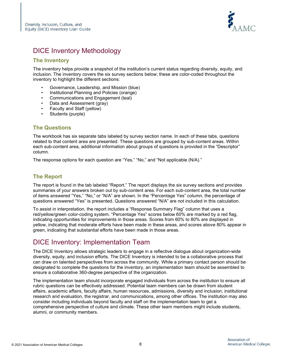

# DICE Inventory Methodology

#### The Inventory

The inventory helps provide a snapshot of the institution's current status regarding diversity, equity, and inclusion. The inventory covers the six survey sections below; these are color-coded throughout the inventory to highlight the different sections:

- Governance, Leadership, and Mission (blue)
- Institutional Planning and Policies (orange)
- Communications and Engagement (teal)
- Data and Assessment (gray)
- Faculty and Staff (yellow)
- Students (purple)

#### The Questions

The workbook has six separate tabs labeled by survey section name. In each of these tabs, questions related to that content area are presented. These questions are grouped by sub-content areas. Within each sub-content area, additional information about groups of questions is provided in the "Descriptor" column.

The response options for each question are "Yes," "No," and "Not applicable (N/A)."

#### The Report

The report is found in the tab labeled "Report." The report displays the six survey sections and provides summaries of your answers broken out by sub-content area. For each sub-content area, the total number of items answered "Yes," "No," or "N/A" are shown. In the "Percentage Yes" column, the percentage of questions answered "Yes" is presented. Questions answered "N/A" are not included in this calculation.

To assist in interpretation, the report includes a "Response Summary Flag" column that uses a red/yellow/green color-coding system. "Percentage Yes" scores below 60% are marked by a red flag, indicating opportunities for improvements in those areas. Scores from 60% to 80% are displayed in yellow, indicating that moderate efforts have been made in these areas, and scores above 80% appear in green, indicating that substantial efforts have been made in those areas.

# DICE Inventory: Implementation Team

The DICE Inventory allows strategic leaders to engage in a reflective dialogue about organization-wide diversity, equity, and inclusion efforts. The DICE Inventory is intended to be a collaborative process that can draw on talented perspectives from across the community. While a primary contact person should be designated to complete the questions for the inventory, an implementation team should be assembled to ensure a collaborative 360-degree perspective of the organization.

The implementation team should incorporate engaged individuals from across the institution to ensure all rubric questions can be effectively addressed. Potential team members can be drawn from student affairs, academic affairs, faculty affairs, human resources, admissions, diversity and inclusion, institutional research and evaluation, the registrar, and communications, among other offices. The institution may also consider including individuals beyond faculty and staff on the implementation team to get a comprehensive perspective of culture and climate. These other team members might include students, alumni, or community members.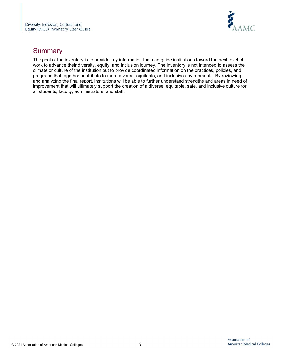

## **Summary**

The goal of the inventory is to provide key information that can guide institutions toward the next level of work to advance their diversity, equity, and inclusion journey. The inventory is not intended to assess the climate or culture of the institution but to provide coordinated information on the practices, policies, and programs that together contribute to more diverse, equitable, and inclusive environments. By reviewing and analyzing the final report, institutions will be able to further understand strengths and areas in need of improvement that will ultimately support the creation of a diverse, equitable, safe, and inclusive culture for all students, faculty, administrators, and staff.